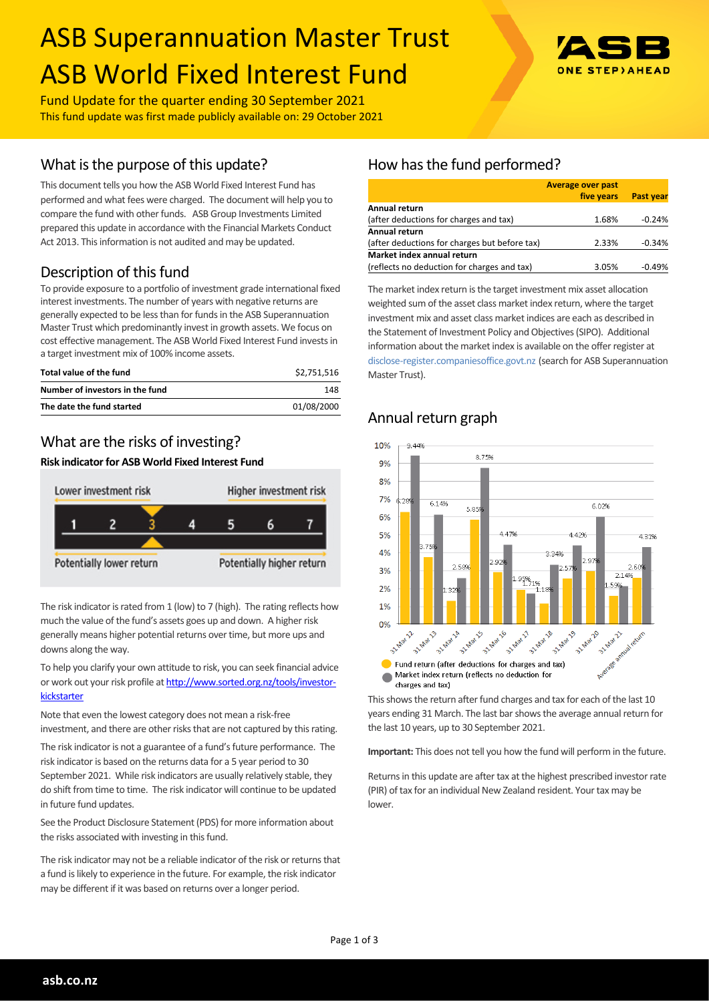# ASB Superannuation Master Trust ASB World Fixed Interest Fund



Fund Update for the quarter ending 30 September 2021 This fund update was first made publicly available on: 29 October 2021

## What is the purpose of this update?

This document tells you how the ASB World Fixed Interest Fund has performed and what fees were charged. The document will help you to compare the fund with other funds. ASB Group Investments Limited prepared this update in accordance with the Financial Markets Conduct Act 2013. This information is not audited and may be updated.

# Description of this fund

To provide exposure to a portfolio of investment grade international fixed interest investments. The number of years with negative returns are generally expected to be less than for funds in the ASB Superannuation Master Trust which predominantly invest in growth assets. We focus on cost effective management. The ASB World Fixed Interest Fund invests in a target investment mix of 100% income assets.

| Total value of the fund         | \$2.751.516 |
|---------------------------------|-------------|
| Number of investors in the fund | 148         |
| The date the fund started       | 01/08/2000  |

# What are the risks of investing?

#### **Risk indicator for ASB World Fixed Interest Fund**



The risk indicator is rated from 1 (low) to 7 (high). The rating reflects how much the value of the fund's assets goes up and down. A higher risk generally means higher potential returns over time, but more ups and downs along the way.

To help you clarify your own attitude to risk, you can seek financial advice or work out your risk profile at [http://www.sorted.org.nz/tools/investor](http://www.sorted.org.nz/tools/investor-kickstarter)**[kickstarter](http://www.sorted.org.nz/tools/investor-kickstarter)** 

Note that even the lowest category does not mean a risk-free investment, and there are other risks that are not captured by this rating.

The risk indicator is not a guarantee of a fund's future performance. The risk indicator is based on the returns data for a 5 year period to 30 September 2021. While risk indicators are usually relatively stable, they do shift from time to time. The risk indicator will continue to be updated in future fund updates.

See the Product Disclosure Statement (PDS) for more information about the risks associated with investing in this fund.

The risk indicator may not be a reliable indicator of the risk or returns that a fund is likely to experience in the future. For example, the risk indicator may be different if it was based on returns over a longer period.

# How has the fund performed?

|                                               | <b>Average over past</b> |                  |
|-----------------------------------------------|--------------------------|------------------|
|                                               | five years               | <b>Past year</b> |
| Annual return                                 |                          |                  |
| (after deductions for charges and tax)        | 1.68%                    | $-0.24%$         |
| <b>Annual return</b>                          |                          |                  |
| (after deductions for charges but before tax) | 2.33%                    | $-0.34%$         |
| Market index annual return                    |                          |                  |
| (reflects no deduction for charges and tax)   | 3.05%                    | $-0.49%$         |

The market index return is the target investment mix asset allocation weighted sum of the asset class market index return, where the target investment mix and asset class market indices are each as described in the Statement of Investment Policy and Objectives (SIPO). Additional information about the market index is available on the offer register at [disclose-register.companiesoffice.govt.nz](http://www.business.govt.nz/disclose/) (search for ASB Superannuation Master Trust).

## Annual return graph



This shows the return after fund charges and tax for each of the last 10 years ending 31 March. The last bar shows the average annual return for the last 10 years, up to 30 September 2021.

**Important:** This does not tell you how the fund will perform in the future.

Returns in this update are after tax at the highest prescribed investor rate (PIR) of tax for an individual New Zealand resident. Your tax may be lower.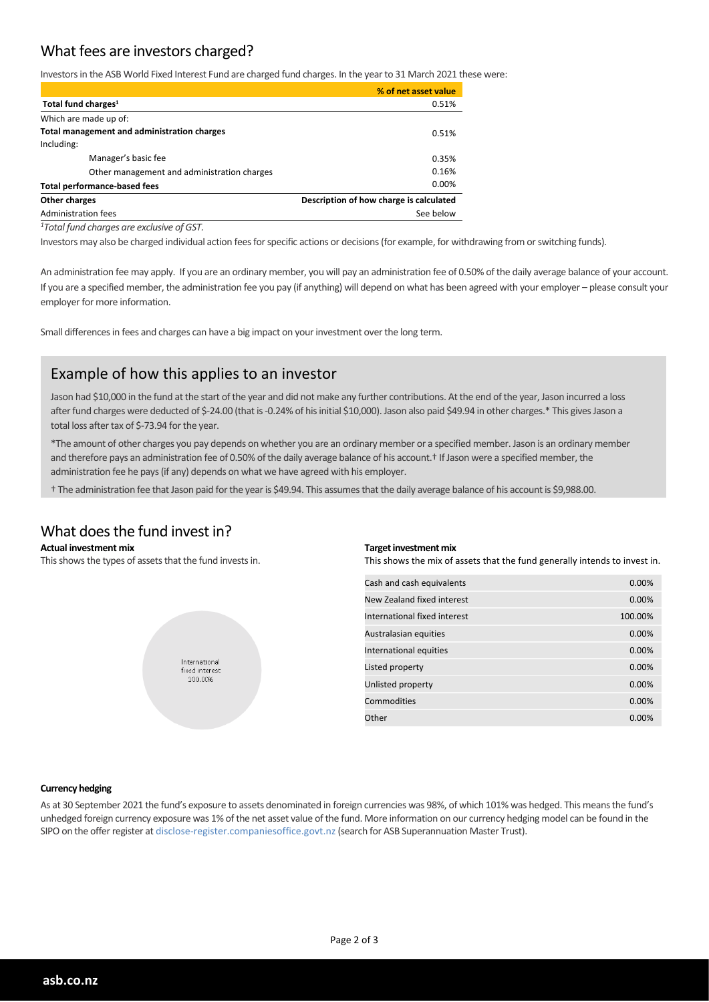## What fees are investors charged?

Investors in the ASB World Fixed Interest Fund are charged fund charges. In the year to 31 March 2021 these were:

|                                             | % of net asset value                    |
|---------------------------------------------|-----------------------------------------|
| Total fund charges <sup>1</sup>             | 0.51%                                   |
| Which are made up of:                       |                                         |
| Total management and administration charges | 0.51%                                   |
| Including:                                  |                                         |
| Manager's basic fee                         | 0.35%                                   |
| Other management and administration charges | 0.16%                                   |
| <b>Total performance-based fees</b>         | $0.00\%$                                |
| Other charges                               | Description of how charge is calculated |
| Administration fees                         | See below                               |
|                                             |                                         |

*<sup>1</sup>Total fund charges are exclusive of GST.*

Investors may also be charged individual action fees for specific actions or decisions (for example, for withdrawing from or switching funds).

An administration fee may apply. If you are an ordinary member, you will pay an administration fee of 0.50% of the daily average balance of your account. If you are a specified member, the administration fee you pay (if anything) will depend on what has been agreed with your employer – please consult your employer for more information.

Small differences in fees and charges can have a big impact on your investment over the long term.

## Example of how this applies to an investor

Jason had \$10,000 in the fund at the start of the year and did not make any further contributions. At the end of the year, Jason incurred a loss after fund charges were deducted of \$-24.00 (that is -0.24% of his initial \$10,000). Jason also paid \$49.94 in other charges.\* This gives Jason a total loss after tax of \$-73.94 for the year.

\*The amount of other charges you pay depends on whether you are an ordinary member or a specified member. Jason is an ordinary member and therefore pays an administration fee of 0.50% of the daily average balance of his account.<sup>†</sup> If Jason were a specified member, the administration fee he pays (if any) depends on what we have agreed with his employer.

† The administration fee that Jason paid for the year is \$49.94. This assumes that the daily average balance of his account is \$9,988.00.

#### What does the fund invest in?

#### **Actual investment mix**

This shows the types of assets that the fund invests in.



#### **Target investment mix**

This shows the mix of assets that the fund generally intends to invest in.

| Cash and cash equivalents    | 0.00%   |
|------------------------------|---------|
| New Zealand fixed interest   | 0.00%   |
| International fixed interest | 100.00% |
| Australasian equities        | 0.00%   |
| International equities       | 0.00%   |
| Listed property              | 0.00%   |
| Unlisted property            | 0.00%   |
| Commodities                  | 0.00%   |
| Other                        | 0.00%   |

#### **Currency hedging**

As at 30 September 2021 the fund's exposure to assets denominated in foreign currencies was 98%, of which 101% was hedged. This means the fund's unhedged foreign currency exposure was 1% of the net asset value of the fund. More information on our currency hedging model can be found in the SIPO on the offer register at disclose-register.companiesoffice.govt.nz (search for ASB Superannuation Master Trust).